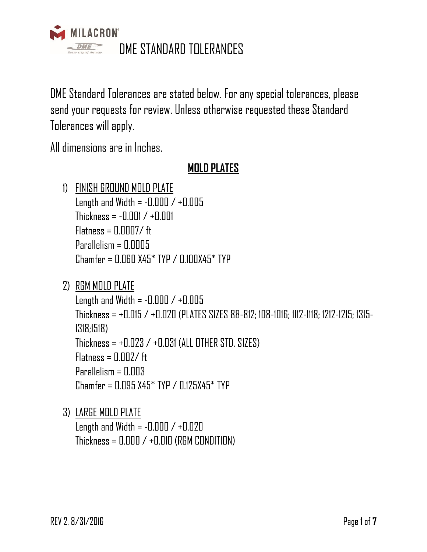

DME Standard Tolerances are stated below. For any special tolerances, please send your requests for review. Unless otherwise requested these Standard Tolerances will apply.

All dimensions are in Inches.

# **MOLD PLATES**

- 1) FINISH GROUND MOLD PLATE Length and Width =  $-0.000 / +0.005$  $Thickness = -0.001 / +0.001$  $Flatness = \Pi \Pi \Pi \Pi \mathcal{I} / \mathcal{H}$ Parallelism = 0.0005  $Chamfer = 0.060 X45*$  TYP / 0.100X45\* TYP
- 2) RGM MOLD PLATE

Length and Width =  $-0.000 / +0.005$ Thickness = +0.015 / +0.020 (PLATES SIZES 88-812; 108-1016; 1112-1118; 1212-1215; 1315- 1318;1518) Thickness = +0.023 / +0.031 (ALL OTHER STD. SIZES)  $Flatness = \Pi \Pi \Pi Z / \text{ft}$ Parallelism = 0.003  $Chamfer = 0.095 X45*$  TYP / 0.125X45\* TYP

3) LARGE MOLD PLATE Length and Width =  $-0.000 / +0.020$ Thickness =  $0.000 / +0.010$  (RGM CONDITION)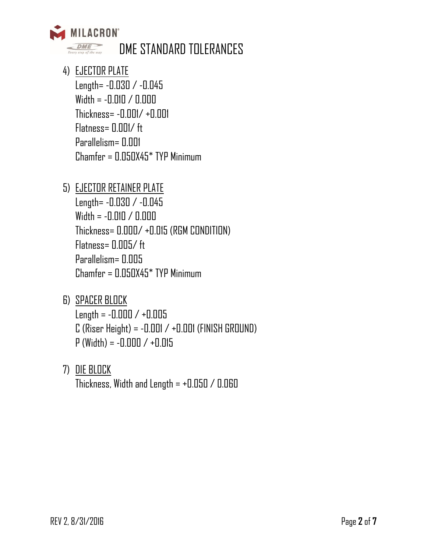

- 4) EJECTOR PLATE Length= -0.030 / -0.045 Width = -0.010 / 0.000 Thickness= -0.001/ +0.001 Flatness= 0.001/ ft Parallelism= 0.001 Chamfer = 0.050X45\* TYP Minimum
- 5) EJECTOR RETAINER PLATE

Length= -0.030 / -0.045 Width = -0.010 / 0.000 Thickness= 0.000/ +0.015 (RGM CONDITION) Flatness= 0.005/ ft Parallelism= 0.005 Chamfer = 0.050X45\* TYP Minimum

- 6) SPACER BLOCK  $Length = -0.000 / +0.005$  $C$  (Riser Height) =  $-0.001 / +0.001$  (FINISH GROUND)  $P$  (Width) =  $-0.000 / +0.015$
- 7) DIE BLOCK

Thickness, Width and Length  $= +0.050 / 0.060$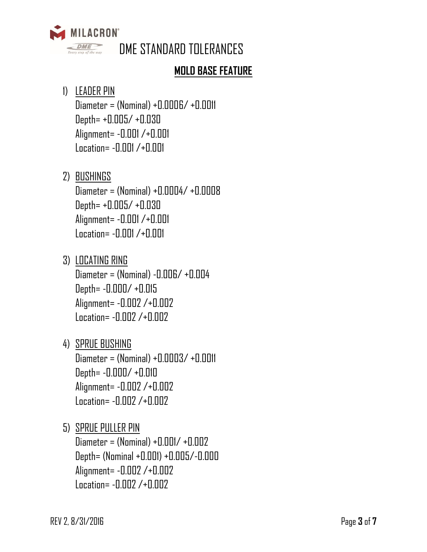

### **MOLD BASE FEATURE**

### 1) LEADER PIN

 $Diameter = (Nominal) + 0.0006/ + 0.0011$ Depth= +0.005/ +0.030 Alignment= -0.001 /+0.001 Location= -0.001 /+0.001

## 2) BUSHINGS

Diameter = (Nominal) +0.0004/ +0.0008 Depth= +0.005/ +0.030 Alignment= -0.001 /+0.001 Location= -0.001 /+0.001

### 3) LOCATING RING Diameter = (Nominal) -0.006/ +0.004 Depth= -0.000/ +0.015 Alignment= -0.002 /+0.002 Location= -0.002 /+0.002

4) SPRUE BUSHING Diameter = (Nominal) +0.0003/ +0.0011 Depth= -0.000/ +0.010 Alignment= -0.002 /+0.002 Location= -0.002 /+0.002

# 5) SPRUE PULLER PIN Diameter = (Nominal) +0.001/ +0.002 Depth= (Nominal +0.001) +0.005/-0.000 Alignment= -0.002 /+0.002 Location= -0.002 /+0.002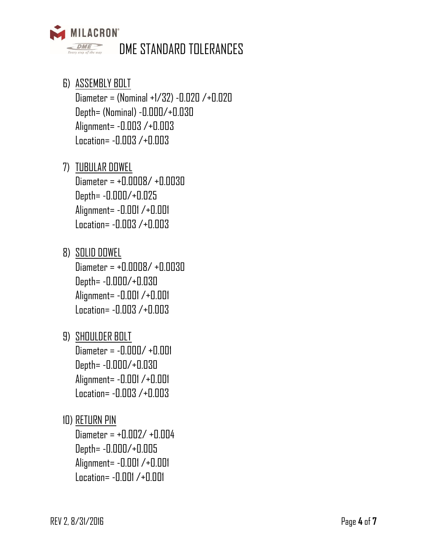

- 6) ASSEMBLY BOLT Diameter = (Nominal +1/32) -0.020 /+0.020 Depth= (Nominal) -0.000/+0.030 Alignment= -0.003 /+0.003 Location= -0.003 /+0.003
- 7) TUBULAR DOWEL Diameter = +0.0008/ +0.0030 Depth= -0.000/+0.025 Alignment= -0.001 /+0.001 Location= -0.003 /+0.003
- 8) SOLID DOWEL Diameter = +0.0008/ +0.0030 Depth= -0.000/+0.030 Alignment= -0.001 /+0.001 Location= -0.003 /+0.003
- 9) SHOULDER BOLT  $Diameter = -0.000/ +0.001$ Depth= -0.000/+0.030 Alignment= -0.001 /+0.001 Location= -0.003 /+0.003
- 10) RETURN PIN

Diameter = +0.002/ +0.004 Depth= -0.000/+0.005 Alignment= -0.001 /+0.001 Location= -0.001 /+0.001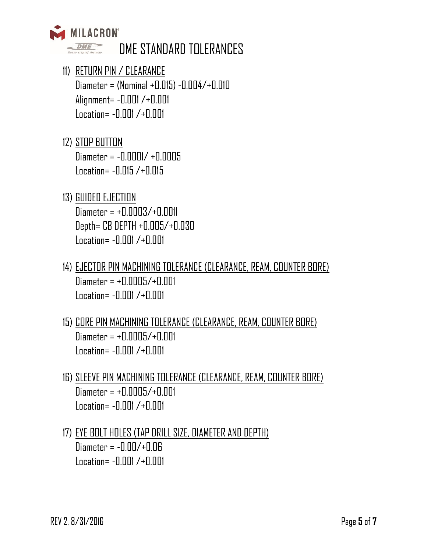

- 11) RETURN PIN / CLEARANCE Diameter = (Nominal +0.015) -0.004/+0.010 Alignment= -0.001 /+0.001 Location= -0.001 /+0.001
- 12) STOP BUTTON Diameter = -0.0001/ +0.0005 Location= -0.015 /+0.015
- 13) GUIDED EJECTION Diameter = +0.0003/+0.0011 Depth= CB DEPTH +0.005/+0.030 Location= -0.001 /+0.001
- 14) EJECTOR PIN MACHINING TOLERANCE (CLEARANCE, REAM, COUNTER BORE) Diameter = +0.0005/+0.001 Location= -0.001 /+0.001
- 15) CORE PIN MACHINING TOLERANCE (CLEARANCE, REAM, COUNTER BORE)  $Diameter = +0.0005/+0.001$ Location= -0.001 /+0.001
- 16) SLEEVE PIN MACHINING TOLERANCE (CLEARANCE, REAM, COUNTER BORE)  $Diameter = +0.0005/+0.001$ Location= -0.001 /+0.001
- 17) EYE BOLT HOLES (TAP DRILL SIZE, DIAMETER AND DEPTH) Diameter = -0.00/+0.06 Location= -0.001 /+0.001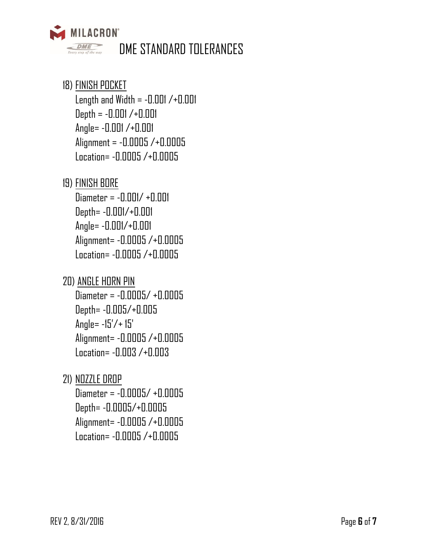

## 18) FINISH POCKET

Length and Width  $= -0.001 / +0.001$ Depth = -0.001 /+0.001 Angle= -0.001 /+0.001 Alignment = -0.0005 /+0.0005 Location= -0.0005 /+0.0005

#### 19) FINISH BORE

Diameter = -0.001/ +0.001 Depth= -0.001/+0.001 Angle= -0.001/+0.001 Alignment= -0.0005 /+0.0005 Location= -0.0005 /+0.0005

### 20) ANGLE HORN PIN

Diameter = -0.0005/ +0.0005 Depth= -0.005/+0.005 Angle= -15'/+ 15' Alignment= -0.0005 /+0.0005 Location= -0.003 /+0.003

### 21) NOZZLE DROP

Diameter = -0.0005/ +0.0005 Depth= -0.0005/+0.0005 Alignment= -0.0005 /+0.0005 Location= -0.0005 /+0.0005